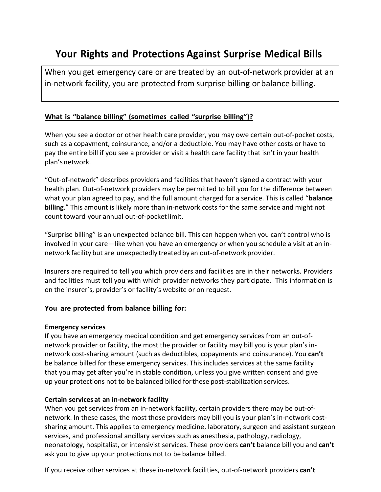# **Your Rights and Protections Against Surprise Medical Bills**

When you get emergency care or are treated by an out-of-network provider at an in-network facility, you are protected from surprise billing or balance billing.

### **What is "balance billing" (sometimes called "surprise billing")?**

When you see a doctor or other health care provider, you may owe certain out-of-pocket costs, such as a copayment, coinsurance, and/or a deductible. You may have other costs or have to pay the entire bill if you see a provider or visit a health care facility that isn't in your health plan'snetwork.

"Out-of-network" describes providers and facilities that haven't signed a contract with your health plan. Out-of-network providers may be permitted to bill you for the difference between what your plan agreed to pay, and the full amount charged for a service. This is called "**balance billing**." This amount is likely more than in-network costs for the same service and might not count toward your annual out-of-pocketlimit.

"Surprise billing" is an unexpected balance bill. This can happen when you can't control who is involved in your care—like when you have an emergency or when you schedule a visit at an innetwork facility but are unexpectedly treated by an out-of-network provider.

Insurers are required to tell you which providers and facilities are in their networks. Providers and facilities must tell you with which provider networks they participate. This information is on the insurer's, provider's or facility's website or on request.

#### **You are protected from balance billing for:**

#### **Emergency services**

If you have an emergency medical condition and get emergency services from an out-ofnetwork provider or facility, the most the provider or facility may bill you is your plan's innetwork cost-sharing amount (such as deductibles, copayments and coinsurance). You **can't**  be balance billed for these emergency services. This includes services at the same facility that you may get after you're in stable condition, unless you give written consent and give up your protections not to be balanced billed forthese post-stabilization services.

#### **Certain services at an in-network facility**

When you get services from an in-network facility, certain providers there may be out-ofnetwork. In these cases, the most those providers may bill you is your plan's in-network costsharing amount. This applies to emergency medicine, laboratory, surgeon and assistant surgeon services, and professional ancillary services such as anesthesia, pathology, radiology, neonatology, hospitalist, or intensivist services. These providers **can't** balance bill you and **can't** ask you to give up your protections not to be balance billed.

If you receive other services at these in-network facilities, out-of-network providers **can't**